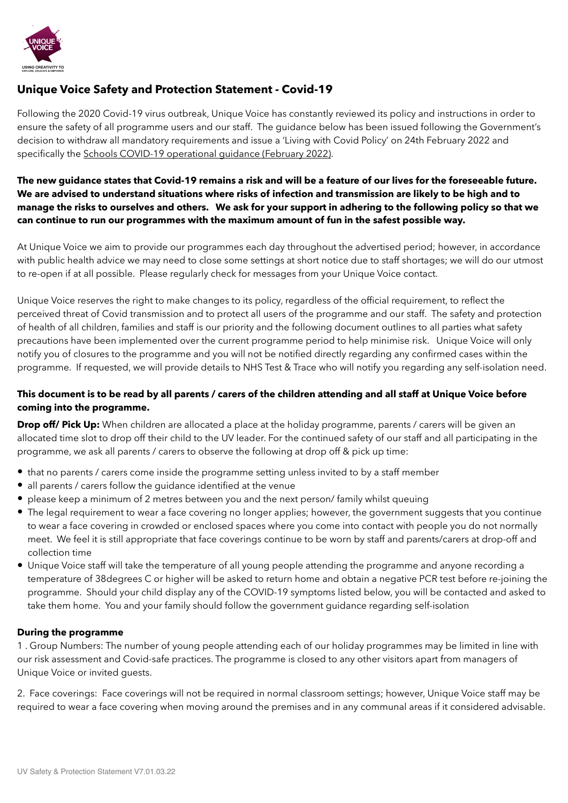

# **Unique Voice Safety and Protection Statement - Covid-19**

Following the 2020 Covid-19 virus outbreak, Unique Voice has constantly reviewed its policy and instructions in order to ensure the safety of all programme users and our staff. The guidance below has been issued following the Government's decision to withdraw all mandatory requirements and issue a 'Living with Covid Policy' on 24th February 2022 and specifically the [Schools COVID-19 operational guidance \(February 2022\)](https://assets.publishing.service.gov.uk/government/uploads/system/uploads/attachment_data/file/1057106/220224_Schools_guidance.pdf).

### **The new guidance states that Covid-19 remains a risk and will be a feature of our lives for the foreseeable future. We are advised to understand situations where risks of infection and transmission are likely to be high and to manage the risks to ourselves and others. We ask for your support in adhering to the following policy so that we can continue to run our programmes with the maximum amount of fun in the safest possible way.**

At Unique Voice we aim to provide our programmes each day throughout the advertised period; however, in accordance with public health advice we may need to close some settings at short notice due to staff shortages; we will do our utmost to re-open if at all possible. Please regularly check for messages from your Unique Voice contact.

Unique Voice reserves the right to make changes to its policy, regardless of the official requirement, to reflect the perceived threat of Covid transmission and to protect all users of the programme and our staff. The safety and protection of health of all children, families and staff is our priority and the following document outlines to all parties what safety precautions have been implemented over the current programme period to help minimise risk. Unique Voice will only notify you of closures to the programme and you will not be notified directly regarding any confirmed cases within the programme. If requested, we will provide details to NHS Test & Trace who will notify you regarding any self-isolation need.

# **This document is to be read by all parents / carers of the children attending and all staff at Unique Voice before coming into the programme.**

**Drop off/ Pick Up:** When children are allocated a place at the holiday programme, parents / carers will be given an allocated time slot to drop off their child to the UV leader. For the continued safety of our staff and all participating in the programme, we ask all parents / carers to observe the following at drop off & pick up time:

- that no parents / carers come inside the programme setting unless invited to by a staff member
- all parents / carers follow the guidance identified at the venue
- please keep a minimum of 2 metres between you and the next person/ family whilst queuing
- The legal requirement to wear a face covering no longer applies; however, the government suggests that you continue to wear a face covering in crowded or enclosed spaces where you come into contact with people you do not normally meet. We feel it is still appropriate that face coverings continue to be worn by staff and parents/carers at drop-off and collection time
- Unique Voice staff will take the temperature of all young people attending the programme and anyone recording a temperature of 38degrees C or higher will be asked to return home and obtain a negative PCR test before re-joining the programme. Should your child display any of the COVID-19 symptoms listed below, you will be contacted and asked to take them home. You and your family should follow the government guidance regarding self-isolation

#### **During the programme**

1 . Group Numbers: The number of young people attending each of our holiday programmes may be limited in line with our risk assessment and Covid-safe practices. The programme is closed to any other visitors apart from managers of Unique Voice or invited guests.

2. Face coverings: Face coverings will not be required in normal classroom settings; however, Unique Voice staff may be required to wear a face covering when moving around the premises and in any communal areas if it considered advisable.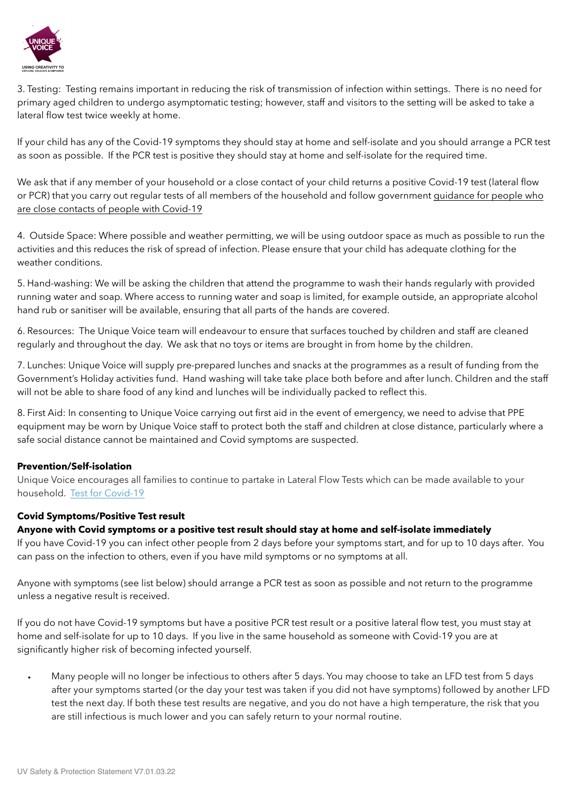

3. Testing: Testing remains important in reducing the risk of transmission of infection within settings. There is no need for primary aged children to undergo asymptomatic testing; however, staff and visitors to the setting will be asked to take a lateral flow test twice weekly at home.

If your child has any of the Covid-19 symptoms they should stay at home and self-isolate and you should arrange a PCR test as soon as possible. If the PCR test is positive they should stay at home and self-isolate for the required time.

We ask that if any member of your household or a close contact of your child returns a positive Covid-19 test (lateral flow or PCR) that you carry out regular tests of all members of the household and follow government [guidance for people who](https://www.gov.uk/government/publications/covid-19-people-with-covid-19-and-their-contacts/covid-19-people-with-covid-19-and-their-contacts)  [are close contacts of people with Covid-19](https://www.gov.uk/government/publications/covid-19-people-with-covid-19-and-their-contacts/covid-19-people-with-covid-19-and-their-contacts)

4. Outside Space: Where possible and weather permitting, we will be using outdoor space as much as possible to run the activities and this reduces the risk of spread of infection. Please ensure that your child has adequate clothing for the weather conditions.

5. Hand-washing: We will be asking the children that attend the programme to wash their hands regularly with provided running water and soap. Where access to running water and soap is limited, for example outside, an appropriate alcohol hand rub or sanitiser will be available, ensuring that all parts of the hands are covered.

6. Resources: The Unique Voice team will endeavour to ensure that surfaces touched by children and staff are cleaned regularly and throughout the day. We ask that no toys or items are brought in from home by the children.

7. Lunches: Unique Voice will supply pre-prepared lunches and snacks at the programmes as a result of funding from the Government's Holiday activities fund. Hand washing will take take place both before and after lunch. Children and the staff will not be able to share food of any kind and lunches will be individually packed to reflect this.

8. First Aid: In consenting to Unique Voice carrying out first aid in the event of emergency, we need to advise that PPE equipment may be worn by Unique Voice staff to protect both the staff and children at close distance, particularly where a safe social distance cannot be maintained and Covid symptoms are suspected.

#### **Prevention/Self-isolation**

Unique Voice encourages all families to continue to partake in Lateral Flow Tests which can be made available to your household. [Test for Covid-19](https://www.nhs.uk/conditions/coronavirus-covid-19/testing/regular-rapid-coronavirus-tests-if-you-do-not-have-symptoms/)

#### **Covid Symptoms/Positive Test result**

#### **Anyone with Covid symptoms or a positive test result should stay at home and self-isolate immediately**

If you have Covid-19 you can infect other people from 2 days before your symptoms start, and for up to 10 days after. You can pass on the infection to others, even if you have mild symptoms or no symptoms at all.

Anyone with symptoms (see list below) should arrange a PCR test as soon as possible and not return to the programme unless a negative result is received.

If you do not have Covid-19 symptoms but have a positive PCR test result or a positive lateral flow test, you must stay at home and self-isolate for up to 10 days. If you live in the same household as someone with Covid-19 you are at significantly higher risk of becoming infected yourself.

• Many people will no longer be infectious to others after 5 days. You may choose to take an LFD test from 5 days after your symptoms started (or the day your test was taken if you did not have symptoms) followed by another LFD test the next day. If both these test results are negative, and you do not have a high temperature, the risk that you are still infectious is much lower and you can safely return to your normal routine.